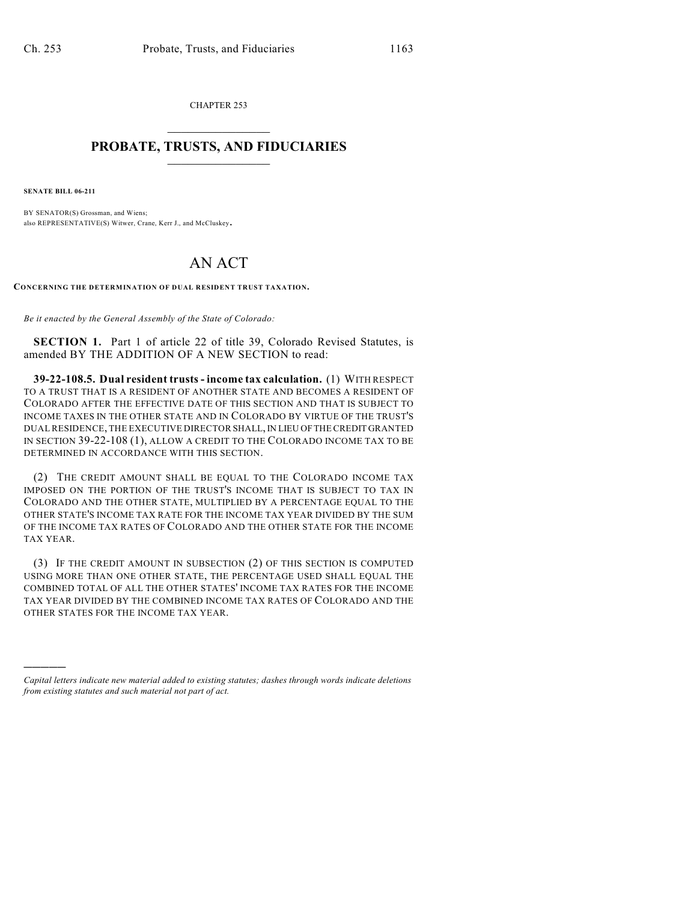CHAPTER 253  $\overline{\phantom{a}}$  . The set of the set of the set of the set of the set of the set of the set of the set of the set of the set of the set of the set of the set of the set of the set of the set of the set of the set of the set o

## **PROBATE, TRUSTS, AND FIDUCIARIES**  $\overline{\phantom{a}}$

**SENATE BILL 06-211**

)))))

BY SENATOR(S) Grossman, and Wiens; also REPRESENTATIVE(S) Witwer, Crane, Kerr J., and McCluskey.

## AN ACT

**CONCERNING THE DETERMINATION OF DUAL RESIDENT TRUST TAXATION.**

*Be it enacted by the General Assembly of the State of Colorado:*

**SECTION 1.** Part 1 of article 22 of title 39, Colorado Revised Statutes, is amended BY THE ADDITION OF A NEW SECTION to read:

**39-22-108.5. Dual resident trusts - income tax calculation.** (1) WITH RESPECT TO A TRUST THAT IS A RESIDENT OF ANOTHER STATE AND BECOMES A RESIDENT OF COLORADO AFTER THE EFFECTIVE DATE OF THIS SECTION AND THAT IS SUBJECT TO INCOME TAXES IN THE OTHER STATE AND IN COLORADO BY VIRTUE OF THE TRUST'S DUAL RESIDENCE, THE EXECUTIVE DIRECTOR SHALL, IN LIEU OF THE CREDIT GRANTED IN SECTION 39-22-108 (1), ALLOW A CREDIT TO THE COLORADO INCOME TAX TO BE DETERMINED IN ACCORDANCE WITH THIS SECTION.

(2) THE CREDIT AMOUNT SHALL BE EQUAL TO THE COLORADO INCOME TAX IMPOSED ON THE PORTION OF THE TRUST'S INCOME THAT IS SUBJECT TO TAX IN COLORADO AND THE OTHER STATE, MULTIPLIED BY A PERCENTAGE EQUAL TO THE OTHER STATE'S INCOME TAX RATE FOR THE INCOME TAX YEAR DIVIDED BY THE SUM OF THE INCOME TAX RATES OF COLORADO AND THE OTHER STATE FOR THE INCOME TAX YEAR.

(3) IF THE CREDIT AMOUNT IN SUBSECTION (2) OF THIS SECTION IS COMPUTED USING MORE THAN ONE OTHER STATE, THE PERCENTAGE USED SHALL EQUAL THE COMBINED TOTAL OF ALL THE OTHER STATES' INCOME TAX RATES FOR THE INCOME TAX YEAR DIVIDED BY THE COMBINED INCOME TAX RATES OF COLORADO AND THE OTHER STATES FOR THE INCOME TAX YEAR.

*Capital letters indicate new material added to existing statutes; dashes through words indicate deletions from existing statutes and such material not part of act.*